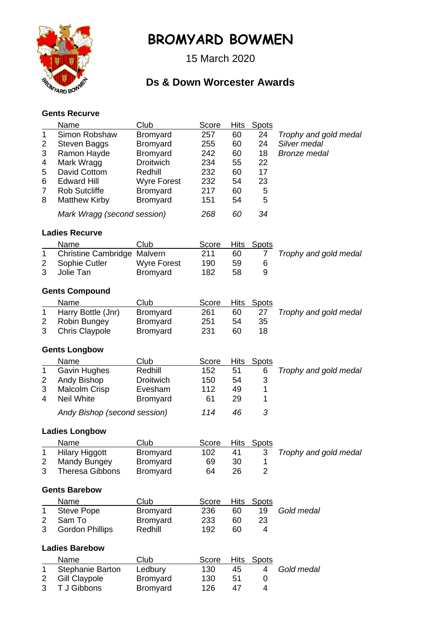

## **BROMYARD BOWMEN**

15 March 2020

## **Ds & Down Worcester Awards**

## **Gents Recurve**

|                       | <b>Name</b>                  | Club               | Score | <b>Hits</b> | Spots          |                       |  |  |  |
|-----------------------|------------------------------|--------------------|-------|-------------|----------------|-----------------------|--|--|--|
| 1                     | Simon Robshaw                | Bromyard           | 257   | 60          | 24             | Trophy and gold medal |  |  |  |
| 2                     | <b>Steven Baggs</b>          | <b>Bromyard</b>    | 255   | 60          | 24             | Silver medal          |  |  |  |
| 3                     | Ramon Hayde                  | <b>Bromyard</b>    | 242   | 60          | 18             | <b>Bronze</b> medal   |  |  |  |
| 4                     | Mark Wragg                   | <b>Droitwich</b>   | 234   | 55          | 22             |                       |  |  |  |
| 5                     | David Cottom                 | Redhill            | 232   | 60          | 17             |                       |  |  |  |
| 6                     | <b>Edward Hill</b>           | <b>Wyre Forest</b> | 232   | 54          | 23             |                       |  |  |  |
| $\overline{7}$        | <b>Rob Sutcliffe</b>         | Bromyard           | 217   | 60          | 5              |                       |  |  |  |
| 8                     | <b>Matthew Kirby</b>         | Bromyard           | 151   | 54          | 5              |                       |  |  |  |
|                       | Mark Wragg (second session)  |                    | 268   | 60          | 34             |                       |  |  |  |
| <b>Ladies Recurve</b> |                              |                    |       |             |                |                       |  |  |  |
|                       | Name                         | Club               | Score | <b>Hits</b> | <b>Spots</b>   |                       |  |  |  |
| 1                     | Christine Cambridge Malvern  |                    | 211   | 60          | 7              | Trophy and gold medal |  |  |  |
| 2                     | Sophie Cutler                | <b>Wyre Forest</b> | 190   | 59          | 6              |                       |  |  |  |
| 3                     | Jolie Tan                    | Bromyard           | 182   | 58          | 9              |                       |  |  |  |
| <b>Gents Compound</b> |                              |                    |       |             |                |                       |  |  |  |
|                       | Name                         | Club               | Score | <b>Hits</b> | <b>Spots</b>   |                       |  |  |  |
| 1                     | Harry Bottle (Jnr)           | <b>Bromyard</b>    | 261   | 60          | 27             | Trophy and gold medal |  |  |  |
| 2                     | Robin Bungey                 | <b>Bromyard</b>    | 251   | 54          | 35             |                       |  |  |  |
| 3                     | <b>Chris Claypole</b>        | Bromyard           | 231   | 60          | 18             |                       |  |  |  |
|                       |                              |                    |       |             |                |                       |  |  |  |
|                       | <b>Gents Longbow</b>         |                    |       |             |                |                       |  |  |  |
|                       | <b>Name</b>                  | Club               | Score | Hits        | <b>Spots</b>   |                       |  |  |  |
| 1                     | Gavin Hughes                 | Redhill            | 152   | 51          | 6              | Trophy and gold medal |  |  |  |
| 2                     | Andy Bishop                  | <b>Droitwich</b>   | 150   | 54          | 3              |                       |  |  |  |
| 3                     | <b>Malcolm Crisp</b>         | Evesham            | 112   | 49          | 1              |                       |  |  |  |
| 4                     | <b>Neil White</b>            | <b>Bromyard</b>    | 61    | 29          | 1              |                       |  |  |  |
|                       | Andy Bishop (second session) |                    | 114   | 46          | 3              |                       |  |  |  |
|                       | <b>Ladies Longbow</b>        |                    |       |             |                |                       |  |  |  |
|                       | Name                         | Club               | Score |             | Hits Spots     |                       |  |  |  |
| 1                     | <b>Hilary Higgott</b>        | Bromyard           | 102   | 41          | 3              | Trophy and gold medal |  |  |  |
| 2                     | Mandy Bungey                 | <b>Bromyard</b>    | 69    | 30          | 1              |                       |  |  |  |
| 3                     | <b>Theresa Gibbons</b>       | <b>Bromyard</b>    | 64    | 26          | $\overline{2}$ |                       |  |  |  |
| <b>Gents Barebow</b>  |                              |                    |       |             |                |                       |  |  |  |
|                       | Name                         | Club               | Score | <b>Hits</b> | <b>Spots</b>   |                       |  |  |  |
| 1                     | <b>Steve Pope</b>            | Bromyard           | 236   | 60          | 19             | Gold medal            |  |  |  |
| 2                     | Sam To                       | <b>Bromyard</b>    | 233   | 60          | 23             |                       |  |  |  |
| 3                     | <b>Gordon Phillips</b>       | Redhill            | 192   | 60          | 4              |                       |  |  |  |
| <b>Ladies Barebow</b> |                              |                    |       |             |                |                       |  |  |  |
|                       | Name                         | Club               | Score | <b>Hits</b> | <b>Spots</b>   |                       |  |  |  |
| 1                     | Stephanie Barton             | Ledbury            | 130   | 45          | 4              | Gold medal            |  |  |  |
| $\overline{2}$        | <b>Gill Claypole</b>         | <b>Bromyard</b>    | 130   | 51          | 0              |                       |  |  |  |

3 T J Gibbons Bromyard 126 47 4